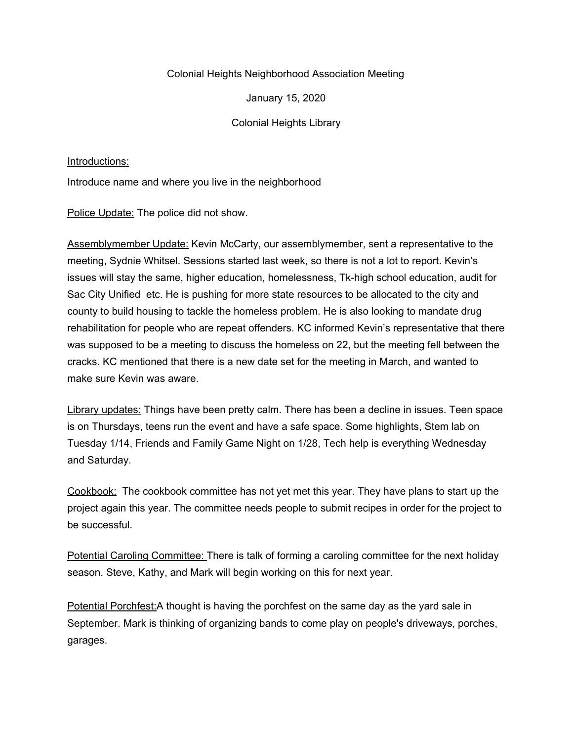## Colonial Heights Neighborhood Association Meeting

January 15, 2020

Colonial Heights Library

## Introductions:

Introduce name and where you live in the neighborhood

Police Update: The police did not show.

Assemblymember Update: Kevin McCarty, our assemblymember, sent a representative to the meeting, Sydnie Whitsel. Sessions started last week, so there is not a lot to report. Kevin's issues will stay the same, higher education, homelessness, Tk-high school education, audit for Sac City Unified etc. He is pushing for more state resources to be allocated to the city and county to build housing to tackle the homeless problem. He is also looking to mandate drug rehabilitation for people who are repeat offenders. KC informed Kevin's representative that there was supposed to be a meeting to discuss the homeless on 22, but the meeting fell between the cracks. KC mentioned that there is a new date set for the meeting in March, and wanted to make sure Kevin was aware.

Library updates: Things have been pretty calm. There has been a decline in issues. Teen space is on Thursdays, teens run the event and have a safe space. Some highlights, Stem lab on Tuesday 1/14, Friends and Family Game Night on 1/28, Tech help is everything Wednesday and Saturday.

Cookbook: The cookbook committee has not yet met this year. They have plans to start up the project again this year. The committee needs people to submit recipes in order for the project to be successful.

Potential Caroling Committee: There is talk of forming a caroling committee for the next holiday season. Steve, Kathy, and Mark will begin working on this for next year.

Potential Porchfest: A thought is having the porchfest on the same day as the yard sale in September. Mark is thinking of organizing bands to come play on people's driveways, porches, garages.